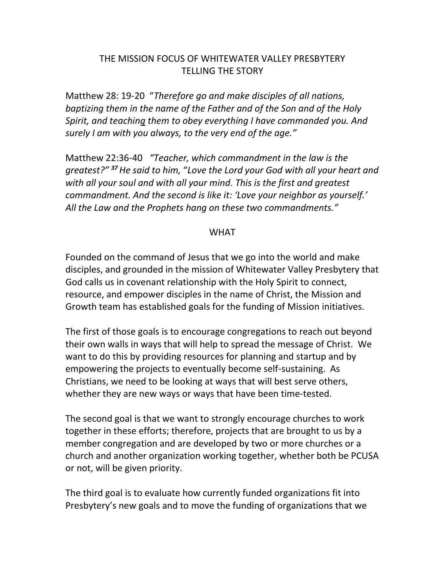# THE MISSION FOCUS OF WHITEWATER VALLEY PRESBYTERY TELLING THE STORY

Matthew 28: 19-20 "*Therefore go and make disciples of all nations, baptizing them in the name of the Father and of the Son and of the Holy Spirit, and teaching them to obey everything I have commanded you. And surely I am with you always, to the very end of the age."*

Matthew 22:36-40 *"Teacher, which commandment in the law is the greatest?" <sup>37</sup>He said to him,* "*Love the Lord your God with all your heart and with all your soul and with all your mind. This is the first and greatest commandment. And the second is like it: 'Love your neighbor as yourself.' All the Law and the Prophets hang on these two commandments."*

## WHAT

Founded on the command of Jesus that we go into the world and make disciples, and grounded in the mission of Whitewater Valley Presbytery that God calls us in covenant relationship with the Holy Spirit to connect, resource, and empower disciples in the name of Christ, the Mission and Growth team has established goals for the funding of Mission initiatives.

The first of those goals is to encourage congregations to reach out beyond their own walls in ways that will help to spread the message of Christ. We want to do this by providing resources for planning and startup and by empowering the projects to eventually become self-sustaining. As Christians, we need to be looking at ways that will best serve others, whether they are new ways or ways that have been time-tested.

The second goal is that we want to strongly encourage churches to work together in these efforts; therefore, projects that are brought to us by a member congregation and are developed by two or more churches or a church and another organization working together, whether both be PCUSA or not, will be given priority.

The third goal is to evaluate how currently funded organizations fit into Presbytery's new goals and to move the funding of organizations that we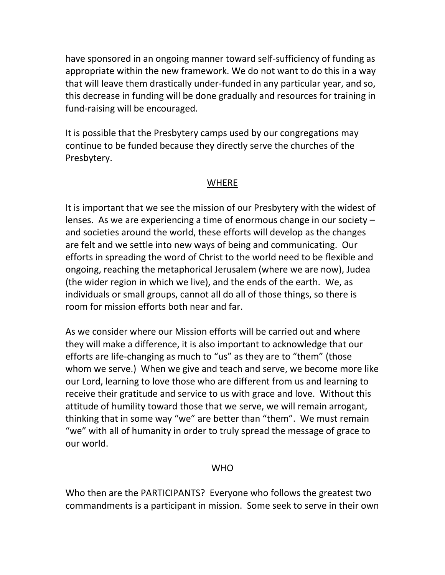have sponsored in an ongoing manner toward self-sufficiency of funding as appropriate within the new framework. We do not want to do this in a way that will leave them drastically under-funded in any particular year, and so, this decrease in funding will be done gradually and resources for training in fund-raising will be encouraged.

It is possible that the Presbytery camps used by our congregations may continue to be funded because they directly serve the churches of the Presbytery.

## WHERE

It is important that we see the mission of our Presbytery with the widest of lenses. As we are experiencing a time of enormous change in our society – and societies around the world, these efforts will develop as the changes are felt and we settle into new ways of being and communicating. Our efforts in spreading the word of Christ to the world need to be flexible and ongoing, reaching the metaphorical Jerusalem (where we are now), Judea (the wider region in which we live), and the ends of the earth. We, as individuals or small groups, cannot all do all of those things, so there is room for mission efforts both near and far.

As we consider where our Mission efforts will be carried out and where they will make a difference, it is also important to acknowledge that our efforts are life-changing as much to "us" as they are to "them" (those whom we serve.) When we give and teach and serve, we become more like our Lord, learning to love those who are different from us and learning to receive their gratitude and service to us with grace and love. Without this attitude of humility toward those that we serve, we will remain arrogant, thinking that in some way "we" are better than "them". We must remain "we" with all of humanity in order to truly spread the message of grace to our world.

## WHO

Who then are the PARTICIPANTS? Everyone who follows the greatest two commandments is a participant in mission. Some seek to serve in their own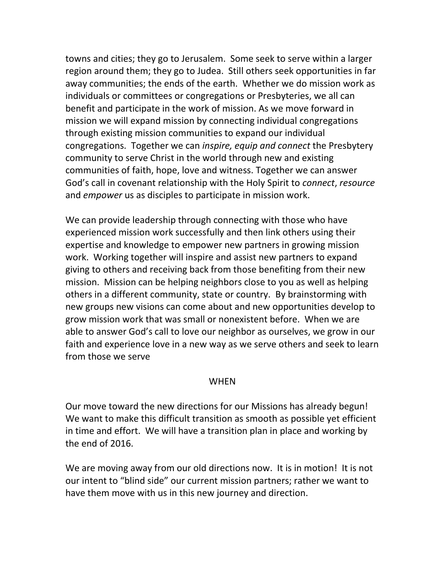towns and cities; they go to Jerusalem. Some seek to serve within a larger region around them; they go to Judea. Still others seek opportunities in far away communities; the ends of the earth. Whether we do mission work as individuals or committees or congregations or Presbyteries, we all can benefit and participate in the work of mission. As we move forward in mission we will expand mission by connecting individual congregations through existing mission communities to expand our individual congregations. Together we can *inspire, equip and connect* the Presbytery community to serve Christ in the world through new and existing communities of faith, hope, love and witness. Together we can answer God's call in covenant relationship with the Holy Spirit to *connect*, *resource* and *empower* us as disciples to participate in mission work.

We can provide leadership through connecting with those who have experienced mission work successfully and then link others using their expertise and knowledge to empower new partners in growing mission work. Working together will inspire and assist new partners to expand giving to others and receiving back from those benefiting from their new mission. Mission can be helping neighbors close to you as well as helping others in a different community, state or country. By brainstorming with new groups new visions can come about and new opportunities develop to grow mission work that was small or nonexistent before. When we are able to answer God's call to love our neighbor as ourselves, we grow in our faith and experience love in a new way as we serve others and seek to learn from those we serve

### **WHFN**

Our move toward the new directions for our Missions has already begun! We want to make this difficult transition as smooth as possible yet efficient in time and effort. We will have a transition plan in place and working by the end of 2016.

We are moving away from our old directions now. It is in motion! It is not our intent to "blind side" our current mission partners; rather we want to have them move with us in this new journey and direction.